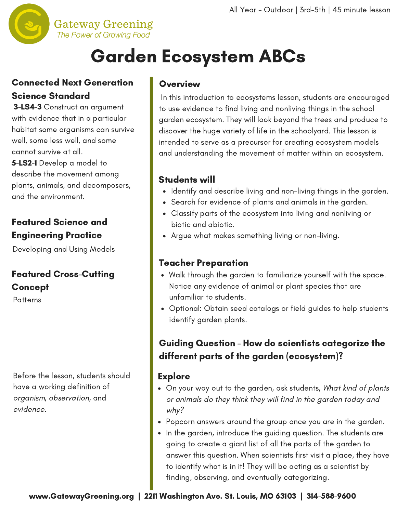

# Garden Ecosystem ABCs

#### Connected Next Generation Science Standard

3-LS4-3 Construct an argument with evidence that in a particular habitat some organisms can survive well, some less well, and some cannot survive at all. 5-LS2-1 Develop a model to describe the movement among plants, animals, and decomposers, and the environment.

#### Featured Science and Engineering Practice

Developing and Using Models

# Featured Cross-Cutting Concept

**Patterns** 

Before the lesson, students should have a working definition of organism, observation, and evidence.

#### **Overview**

In this introduction to ecosystems lesson, students are encouraged to use evidence to find living and nonliving things in the school garden ecosystem. They will look beyond the trees and produce to discover the huge variety of life in the schoolyard. This lesson is intended to serve as a precursor for creating ecosystem models and [understanding](http://www.gatewaygreening.org/wp-content/uploads/2018/08/Gateway-Greening-Planting-Calendar-2018.pdf) the movement of matter within an ecosystem.

#### Students will

- Identify and describe living and non-living things in the garden.
- Search for evidence of plants and animals in the garden.
- Classify parts of the ecosystem into living and nonliving or biotic and abiotic.
- Argue what makes something living or non-living.

#### Teacher Preparation

- Walk through the garden to familiarize yourself with the space. Notice any evidence of animal or plant species that are unfamiliar to students.
- Optional: Obtain seed catalogs or field guides to help students identify garden plants.

### Guiding Question - How do scientists categorize the different parts of the garden (ecosystem)?

#### Explore

- On your way out to the garden, ask students, What kind of plants or animals do they think they will find in the garden today and why?
- Popcorn answers around the group once you are in the garden.
- In the garden, introduce the guiding question. The students are going to create a giant list of all the parts of the garden to answer this question. When scientists first visit a place, they have to identify what is in it! They will be acting as a scientist by finding, observing, and eventually categorizing.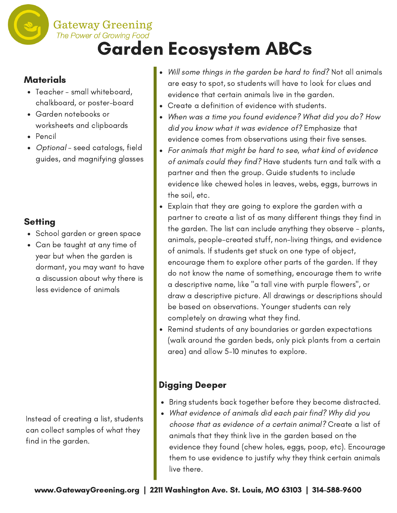# The Power of Growing Food Garden Ecosystem ABCs

#### **Materials**

Teacher - small whiteboard, chalkboard, or poster-board

**Gateway Greening** 

- Garden notebooks or worksheets and clipboards
- Pencil
- Optional seed catalogs, field guides, and magnifying glasses

## **Setting**

- School garden or green space
- Can be taught at any time of year but when the garden is dormant, you may want to have a discussion about why there is less evidence of animals

Instead of creating a list, students can collect samples of what they find in the garden.

- Will some things in the garden be hard to find? Not all animals are easy to spot, so students will have to look for clues and evidence that certain animals live in the garden.
- Create a definition of evidence with students.
- When was a time you found evidence? What did you do? How did you know what it was evidence of? Emphasize that evidence comes from observations using their five senses.
- For animals that might be hard to see, what kind of evidence of animals could they find? Have students turn and talk with a partner and then the group. Guide students to include evidence like chewed holes in leaves, webs, eggs, burrows in the soil, etc.
- Explain that they are going to explore the garden with a partner to create a list of as many different things they find in the garden. The list can include anything they observe - plants, animals, people-created stuff, non-living things, and evidence of animals. If students get stuck on one type of object, encourage them to explore other parts of the garden. If they do not know the name of something, encourage them to write a descriptive name, like "a tall vine with purple flowers", or draw a descriptive picture. All drawings or descriptions should be based on observations. Younger students can rely completely on drawing what they find.
- Remind students of any boundaries or garden expectations (walk around the garden beds, only pick plants from a certain area) and allow 5-10 minutes to explore.

## Digging Deeper

- Bring students back together before they become distracted.
- What evidence of animals did each pair find? Why did you choose that as evidence of a certain animal? Create a list of animals that they think live in the garden based on the evidence they found (chew holes, eggs, poop, etc). Encourage them to use evidence to justify why they think certain animals live there.